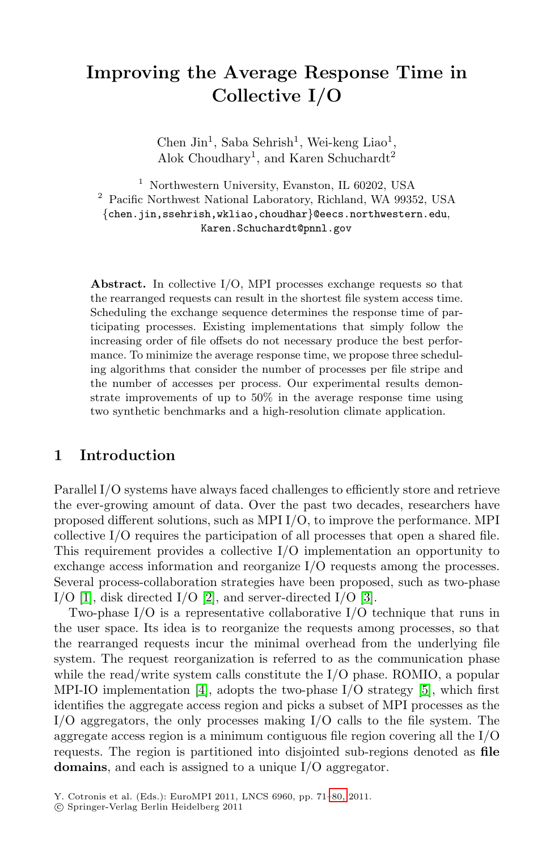# **Improving the Average Response Time in Collective I/O**

Chen Jin<sup>1</sup>, Saba Sehrish<sup>1</sup>, Wei-keng Liao<sup>1</sup>, Alok Choudhary<sup>1</sup>, and Karen Schuchardt<sup>2</sup>

<sup>1</sup> Northwestern University, Evanston, IL 60202, USA <sup>2</sup> Pacific Northwest National Laboratory, Richland, WA 99352, USA *{*chen.jin,ssehrish,wkliao,choudhar*}*@eecs.northwestern.edu, Karen.Schuchardt@pnnl.gov

**Abstract.** In collective I/O, MPI processes exchange requests so that the rearranged requests can result in the shortest file system access time. Scheduling the exchange sequence determines the response time of participating processes. Existing implementations that simply follow the increasing order of file offsets do not necessary produce the best performance. To minimize the average response time, we propose three scheduling algorithms that consider the number of processes per file stripe and the number of accesses per process. Our experimental results demonstrate improvements of up to 50% in the average response time using two synthetic benchmarks and a high-resolution climate application.

#### **1 Introduction**

Parallel I/O systems have always faced challenges to efficiently store and retrieve the ever-growing amount of data. Over the past two decades, researchers have proposed different solutions, such as MPI I/O, to improve the performance. MPI collective I/O requires the participation of all processes that open a shared file. This requirement provides a collective I/O implementation an opportunity to exchange access information and reorganize I/O requests among the processes. Several process-collaboration strategies have been proposed, such as two-phase I/O [\[1\]](#page-8-0), disk directed I/O [\[2\]](#page-8-1), and server-directed I/O [\[3\]](#page-8-2).

Two-phase I/O is a representative collaborative I/O technique that runs in the user space. Its idea is to reorganize the requests among processes, so that the rearranged requests incur the minimal overhead from the underlying file system. The request reorganization is referred to as the communication phase while the read/write system calls constitute the I/O phase. ROMIO, a popular MPI-IO implementation [\[4\]](#page-8-3), adopts the two-phase  $I/O$  strategy [\[5\]](#page-8-4), which first identifies the aggregate access region and picks a subset of MPI processes as the I/O aggregators, the only processes making I/O calls to the file system. The aggregate access region is a minimum contiguous file region covering all the I/O requests. The region is partitioned into disjointed sub-regions denoted as **file domains**, and each is assigned to a unique I/O aggregator.

Y. Cotronis et al. (Eds.): EuroMPI 2011, LNCS 6960, pp. 71[–80,](#page-9-0) 2011.

<sup>-</sup>c Springer-Verlag Berlin Heidelberg 2011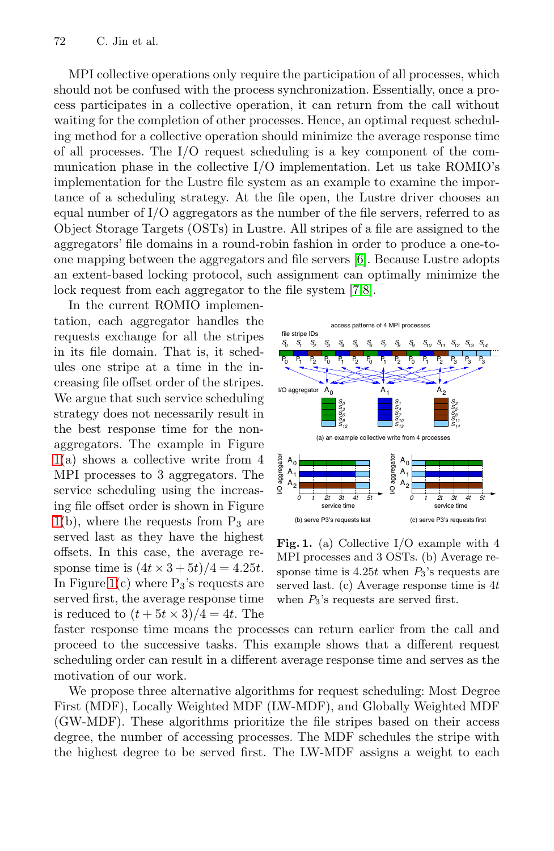MPI collective operations only require the participation of all processes, which should not be confused with the process synchronization. Essentially, once a process participates in a collective operation, it can return from the call without waiting for the completion of other processes. Hence, an optimal request scheduling method for a collective operation should minimize the average response time of all processes. The I/O request scheduling is a key component of the communication phase in the collective I/O implementation. Let us take ROMIO's implementation for the Lustre file system as an example to examine the importance of a scheduling strategy. At the file open, the Lustre driver chooses an equal number of I/O aggregators as the number of the file servers, referred to as Object Storage Targets (OSTs) in Lustre. All stripes of a file are assigned to the aggregators' file domains in a round-robin fashion in order to produce a one-toone mapping between the aggregators and file servers [\[6\]](#page-8-5). Because Lustre adopts an extent-based locking protocol, such assignment can optimally minimize the lock request from each aggregator to the file system [\[7](#page-8-6)[,8\]](#page-8-7).

In the current ROMIO implementation, each aggregator handles the requests exchange for all the stripes in its file domain. That is, it schedules one stripe at a time in the increasing file offset order of the stripes. We argue that such service scheduling strategy does not necessarily result in the best response time for the nonaggregators. The example in Figure [1\(](#page-1-0)a) shows a collective write from 4 MPI processes to 3 aggregators. The service scheduling using the increasing file offset order is shown in Figure  $1(b)$  $1(b)$ , where the requests from  $P_3$  are served last as they have the highest offsets. In this case, the average response time is  $(4t \times 3 + 5t)/4 = 4.25t$ . In Figure [1\(](#page-1-0)c) where  $P_3$ 's requests are served first, the average response time is reduced to  $(t+5t \times 3)/4 = 4t$ . The

<span id="page-1-0"></span>

**Fig. 1.** (a) Collective I/O example with 4 MPI processes and 3 OSTs. (b) Average response time is 4*.*25*t* when *P*3's requests are served last. (c) Average response time is 4*t* when  $P_3$ 's requests are served first.

faster response time means the processes can return earlier from the call and proceed to the successive tasks. This example shows that a different request scheduling order can result in a different average response time and serves as the motivation of our work.

We propose three alternative algorithms for request scheduling: Most Degree First (MDF), Locally Weighted MDF (LW-MDF), and Globally Weighted MDF (GW-MDF). These algorithms prioritize the file stripes based on their access degree, the number of accessing processes. The MDF schedules the stripe with the highest degree to be served first. The LW-MDF assigns a weight to each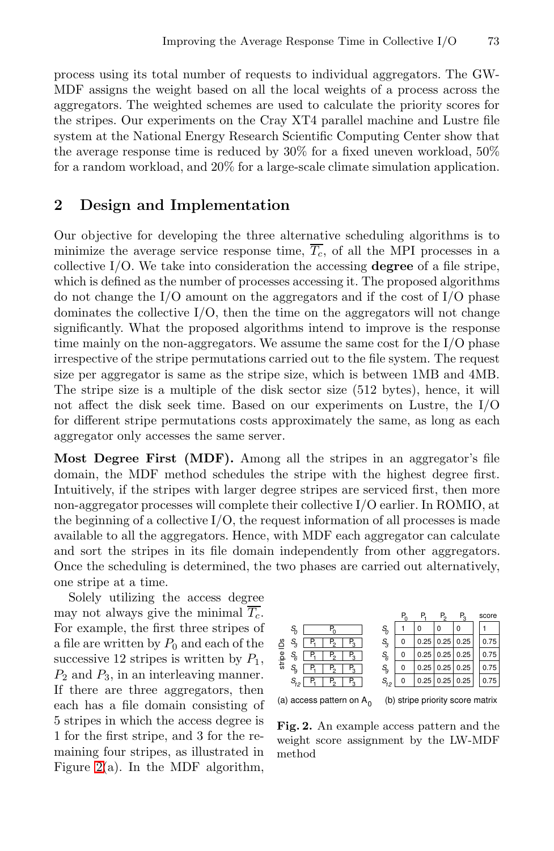process using its total number of requests to individual aggregators. The GW-MDF assigns the weight based on all the local weights of a process across the aggregators. The weighted schemes are used to calculate the priority scores for the stripes. Our experiments on the Cray XT4 parallel machine and Lustre file system at the National Energy Research Scientific Computing Center show that the average response time is reduced by 30% for a fixed uneven workload, 50% for a random workload, and 20% for a large-scale climate simulation application.

#### **2 Design and Implementation**

Our objective for developing the three alternative scheduling algorithms is to minimize the average service response time,  $\overline{T_c}$ , of all the MPI processes in a collective I/O. We take into consideration the accessing **degree** of a file stripe, which is defined as the number of processes accessing it. The proposed algorithms do not change the  $I/O$  amount on the aggregators and if the cost of  $I/O$  phase dominates the collective  $I/O$ , then the time on the aggregators will not change significantly. What the proposed algorithms intend to improve is the response time mainly on the non-aggregators. We assume the same cost for the I/O phase irrespective of the stripe permutations carried out to the file system. The request size per aggregator is same as the stripe size, which is between 1MB and 4MB. The stripe size is a multiple of the disk sector size (512 bytes), hence, it will not affect the disk seek time. Based on our experiments on Lustre, the I/O for different stripe permutations costs approximately the same, as long as each aggregator only accesses the same server.

**Most Degree First (MDF).** Among all the stripes in an aggregator's file domain, the MDF method schedules the stripe with the highest degree first. Intuitively, if the stripes with larger degree stripes are serviced first, then more non-aggregator processes will complete their collective I/O earlier. In ROMIO, at the beginning of a collective  $I/O$ , the request information of all processes is made available to all the aggregators. Hence, with MDF each aggregator can calculate and sort the stripes in its file domain independently from other aggregators. Once the scheduling is determined, the two phases are carried out alternatively, one stripe at a time.

Solely utilizing the access degree may not always give the minimal  $\overline{T_c}$ . For example, the first three stripes of a file are written by  $P_0$  and each of the successive 12 stripes is written by *P*1, *P*<sup>2</sup> and *P*3, in an interleaving manner. If there are three aggregators, then each has a file domain consisting of 5 stripes in which the access degree is 1 for the first stripe, and 3 for the remaining four stripes, as illustrated in Figure [2\(](#page-2-0)a). In the MDF algorithm,

<span id="page-2-0"></span>

**Fig. 2.** An example access pattern and the weight score assignment by the LW-MDF method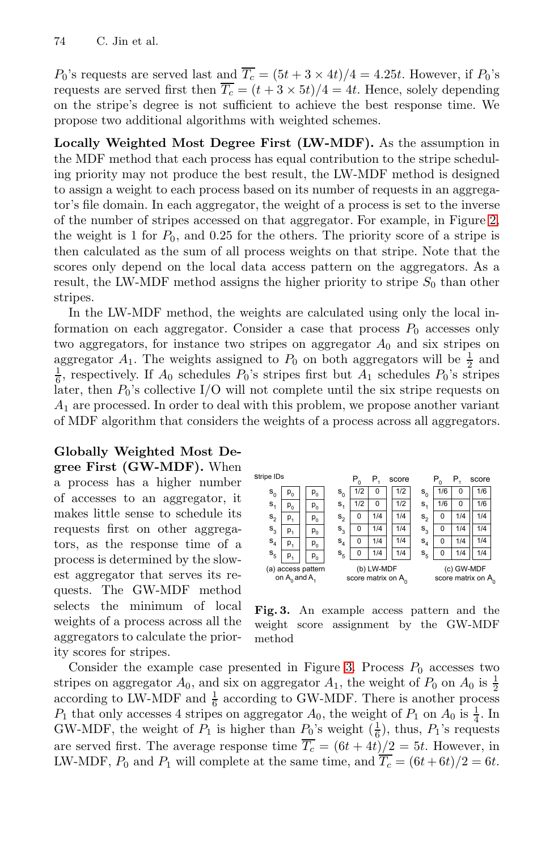$P_0$ 's requests are served last and  $\overline{T_c} = (5t + 3 \times 4t)/4 = 4.25t$ . However, if  $P_0$ 's requests are served first then  $\overline{T_c} = (t + 3 \times 5t)/4 = 4t$ . Hence, solely depending on the stripe's degree is not sufficient to achieve the best response time. We propose two additional algorithms with weighted schemes.

**Locally Weighted Most Degree First (LW-MDF).** As the assumption in the MDF method that each process has equal contribution to the stripe scheduling priority may not produce the best result, the LW-MDF method is designed to assign a weight to each process based on its number of requests in an aggregator's file domain. In each aggregator, the weight of a process is set to the inverse of the number of stripes accessed on that aggregator. For example, in Figure [2,](#page-2-0) the weight is 1 for  $P_0$ , and 0.25 for the others. The priority score of a stripe is then calculated as the sum of all process weights on that stripe. Note that the scores only depend on the local data access pattern on the aggregators. As a result, the LW-MDF method assigns the higher priority to stripe  $S_0$  than other stripes.

In the LW-MDF method, the weights are calculated using only the local information on each aggregator. Consider a case that process *P*<sup>0</sup> accesses only two aggregators, for instance two stripes on aggregator  $A_0$  and six stripes on aggregator  $A_1$ . The weights assigned to  $P_0$  on both aggregators will be  $\frac{1}{2}$  and  $\frac{1}{6}$ , respectively. If  $A_0$  schedules  $P_0$ 's stripes first but  $A_1$  schedules  $P_0$ 's stripes later, then  $P_0$ 's collective I/O will not complete until the six stripe requests on *A*<sup>1</sup> are processed. In order to deal with this problem, we propose another variant of MDF algorithm that considers the weights of a process across all aggregators.

#### **Globally Weighted Most De-**

**gree First (GW-MDF).** When a process has a higher number of accesses to an aggregator, it makes little sense to schedule its requests first on other aggregators, as the response time of a process is determined by the slowest aggregator that serves its requests. The GW-MDF method selects the minimum of local weights of a process across all the aggregators to calculate the priority scores for stripes.

<span id="page-3-0"></span>

**Fig. 3.** An example access pattern and the weight score assignment by the GW-MDF method

Consider the example case presented in Figure [3.](#page-3-0) Process  $P_0$  accesses two stripes on aggregator  $A_0$ , and six on aggregator  $A_1$ , the weight of  $P_0$  on  $A_0$  is  $\frac{1}{2}$ according to LW-MDF and  $\frac{1}{6}$  according to GW-MDF. There is another process  $P_1$  that only accesses 4 stripes on aggregator  $A_0$ , the weight of  $P_1$  on  $A_0$  is  $\frac{1}{4}$ . In GW-MDF, the weight of  $P_1$  is higher than  $P_0$ 's weight  $(\frac{1}{6})$ , thus,  $P_1$ 's requests are served first. The average response time  $\overline{T_c} = (6t + 4t)/2 = 5t$ . However, in LW-MDF,  $P_0$  and  $P_1$  will complete at the same time, and  $\overline{T_c} = (6t + 6t)/2 = 6t$ .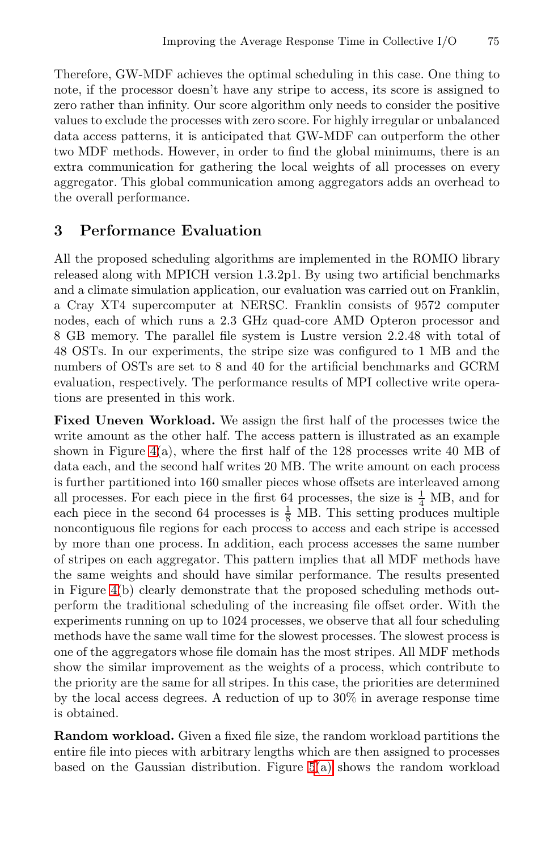Therefore, GW-MDF achieves the optimal scheduling in this case. One thing to note, if the processor doesn't have any stripe to access, its score is assigned to zero rather than infinity. Our score algorithm only needs to consider the positive values to exclude the processes with zero score. For highly irregular or unbalanced data access patterns, it is anticipated that GW-MDF can outperform the other two MDF methods. However, in order to find the global minimums, there is an extra communication for gathering the local weights of all processes on every aggregator. This global communication among aggregators adds an overhead to the overall performance.

## **3 Performance Evaluation**

All the proposed scheduling algorithms are implemented in the ROMIO library released along with MPICH version 1.3.2p1. By using two artificial benchmarks and a climate simulation application, our evaluation was carried out on Franklin, a Cray XT4 supercomputer at NERSC. Franklin consists of 9572 computer nodes, each of which runs a 2.3 GHz quad-core AMD Opteron processor and 8 GB memory. The parallel file system is Lustre version 2.2.48 with total of 48 OSTs. In our experiments, the stripe size was configured to 1 MB and the numbers of OSTs are set to 8 and 40 for the artificial benchmarks and GCRM evaluation, respectively. The performance results of MPI collective write operations are presented in this work.

**Fixed Uneven Workload.** We assign the first half of the processes twice the write amount as the other half. The access pattern is illustrated as an example shown in Figure [4\(](#page-5-0)a), where the first half of the 128 processes write 40 MB of data each, and the second half writes 20 MB. The write amount on each process is further partitioned into 160 smaller pieces whose offsets are interleaved among all processes. For each piece in the first 64 processes, the size is  $\frac{1}{4}$  MB, and for each piece in the second 64 processes is  $\frac{1}{8}$  MB. This setting produces multiple noncontiguous file regions for each process to access and each stripe is accessed by more than one process. In addition, each process accesses the same number of stripes on each aggregator. This pattern implies that all MDF methods have the same weights and should have similar performance. The results presented in Figure [4\(](#page-5-0)b) clearly demonstrate that the proposed scheduling methods outperform the traditional scheduling of the increasing file offset order. With the experiments running on up to 1024 processes, we observe that all four scheduling methods have the same wall time for the slowest processes. The slowest process is one of the aggregators whose file domain has the most stripes. All MDF methods show the similar improvement as the weights of a process, which contribute to the priority are the same for all stripes. In this case, the priorities are determined by the local access degrees. A reduction of up to 30% in average response time is obtained.

**Random workload.** Given a fixed file size, the random workload partitions the entire file into pieces with arbitrary lengths which are then assigned to processes based on the Gaussian distribution. Figure [5](#page-6-0)[\(a\)](#page-6-1) shows the random workload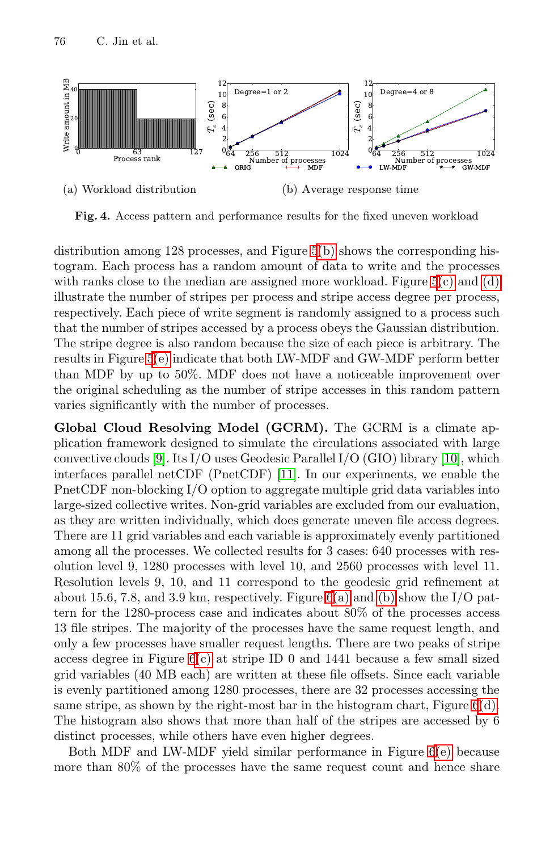<span id="page-5-0"></span>

**Fig. 4.** Access pattern and performance results for the fixed uneven workload

distribution among 128 processes, and Figure [5](#page-6-0)[\(b\)](#page-6-2) shows the corresponding histogram. Each process has a random amount of data to write and the processes with ranks close to the median are assigned more workload. Figure  $5(c)$  $5(c)$  and  $(d)$ illustrate the number of stripes per process and stripe access degree per process, respectively. Each piece of write segment is randomly assigned to a process such that the number of stripes accessed by a process obeys the Gaussian distribution. The stripe degree is also random because the size of each piece is arbitrary. The results in Figure [5](#page-6-0)[\(e\)](#page-6-5) indicate that both LW-MDF and GW-MDF perform better than MDF by up to 50%. MDF does not have a noticeable improvement over the original scheduling as the number of stripe accesses in this random pattern varies significantly with the number of processes.

**Global Cloud Resolving Model (GCRM).** The GCRM is a climate application framework designed to simulate the circulations associated with large convective clouds [\[9\]](#page-9-1). Its I/O uses Geodesic Parallel I/O (GIO) library [\[10\]](#page-9-2), which interfaces parallel netCDF (PnetCDF) [\[11\]](#page-9-3). In our experiments, we enable the PnetCDF non-blocking I/O option to aggregate multiple grid data variables into large-sized collective writes. Non-grid variables are excluded from our evaluation, as they are written individually, which does generate uneven file access degrees. There are 11 grid variables and each variable is approximately evenly partitioned among all the processes. We collected results for 3 cases: 640 processes with resolution level 9, 1280 processes with level 10, and 2560 processes with level 11. Resolution levels 9, 10, and 11 correspond to the geodesic grid refinement at about 15.6, 7.8, and 3.9 km, respectively. Figure  $6(a)$  $6(a)$  and [\(b\)](#page-7-2) show the I/O pattern for the 1280-process case and indicates about 80% of the processes access 13 file stripes. The majority of the processes have the same request length, and only a few processes have smaller request lengths. There are two peaks of stripe access degree in Figure  $6(c)$  $6(c)$  at stripe ID 0 and 1441 because a few small sized grid variables (40 MB each) are written at these file offsets. Since each variable is evenly partitioned among 1280 processes, there are 32 processes accessing the same stripe, as shown by the right-most bar in the histogram chart, Figure  $6(d)$ . The histogram also shows that more than half of the stripes are accessed by 6 distinct processes, while others have even higher degrees.

Both MDF and LW-MDF yield similar performance in Figure [6](#page-7-0)[\(e\)](#page-7-4) because more than 80% of the processes have the same request count and hence share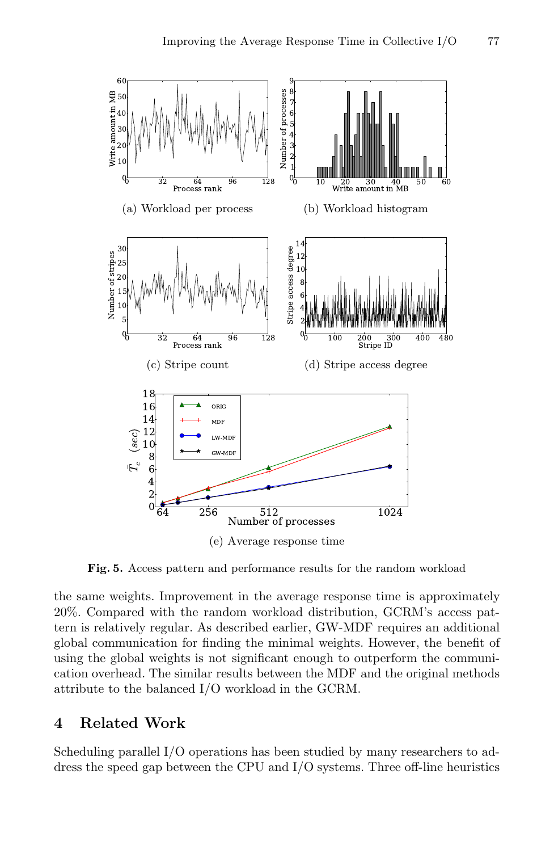<span id="page-6-3"></span><span id="page-6-2"></span><span id="page-6-1"></span><span id="page-6-0"></span>

<span id="page-6-5"></span><span id="page-6-4"></span>**Fig. 5.** Access pattern and performance results for the random workload

the same weights. Improvement in the average response time is approximately 20%. Compared with the random workload distribution, GCRM's access pattern is relatively regular. As described earlier, GW-MDF requires an additional global communication for finding the minimal weights. However, the benefit of using the global weights is not significant enough to outperform the communication overhead. The similar results between the MDF and the original methods attribute to the balanced I/O workload in the GCRM.

### **4 Related Work**

Scheduling parallel I/O operations has been studied by many researchers to address the speed gap between the CPU and I/O systems. Three off-line heuristics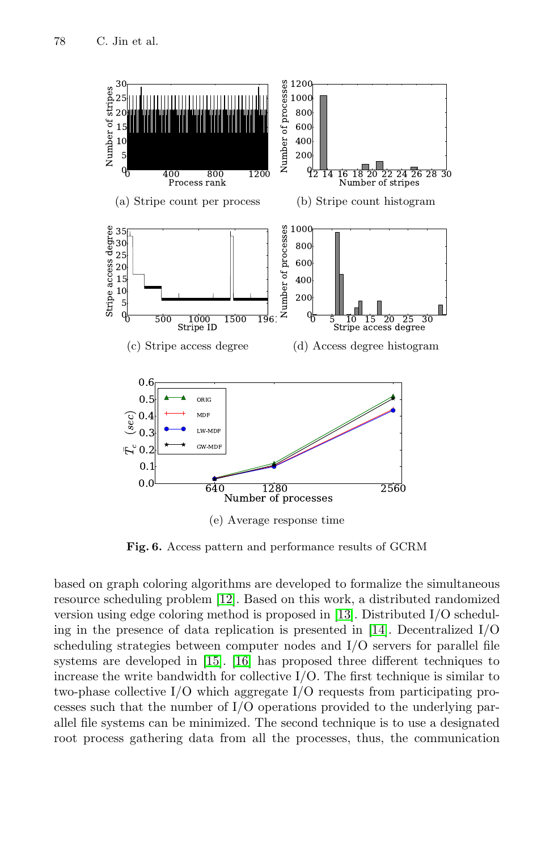<span id="page-7-2"></span><span id="page-7-1"></span><span id="page-7-0"></span>

<span id="page-7-4"></span><span id="page-7-3"></span>**Fig. 6.** Access pattern and performance results of GCRM

based on graph coloring algorithms are developed to formalize the simultaneous resource scheduling problem [\[12\]](#page-9-4). Based on this work, a distributed randomized version using edge coloring method is proposed in [\[13\]](#page-9-5). Distributed I/O scheduling in the presence of data replication is presented in  $[14]$ . Decentralized I/O scheduling strategies between computer nodes and I/O servers for parallel file systems are developed in [\[15\]](#page-9-7). [\[16\]](#page-9-8) has proposed three different techniques to increase the write bandwidth for collective  $I/O$ . The first technique is similar to two-phase collective I/O which aggregate I/O requests from participating processes such that the number of I/O operations provided to the underlying parallel file systems can be minimized. The second technique is to use a designated root process gathering data from all the processes, thus, the communication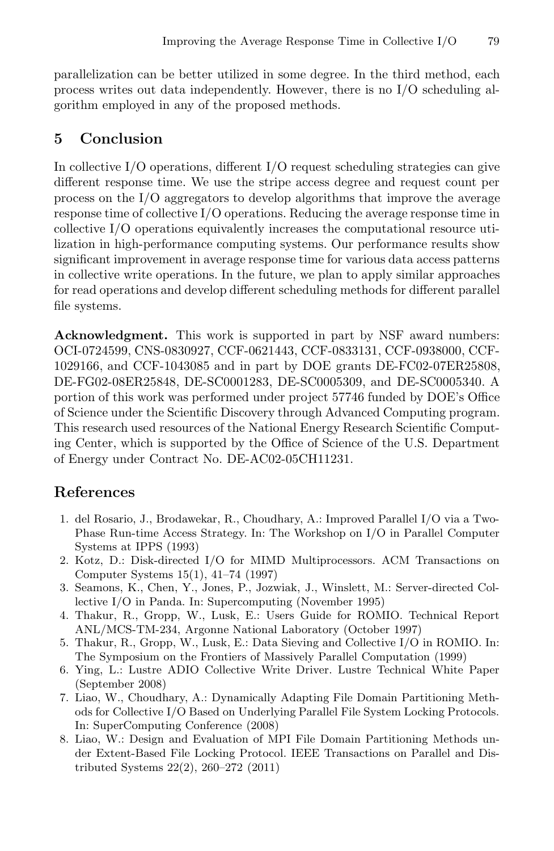parallelization can be better utilized in some degree. In the third method, each process writes out data independently. However, there is no I/O scheduling algorithm employed in any of the proposed methods.

## **5 Conclusion**

In collective I/O operations, different I/O request scheduling strategies can give different response time. We use the stripe access degree and request count per process on the I/O aggregators to develop algorithms that improve the average response time of collective I/O operations. Reducing the average response time in collective I/O operations equivalently increases the computational resource utilization in high-performance computing systems. Our performance results show significant improvement in average response time for various data access patterns in collective write operations. In the future, we plan to apply similar approaches for read operations and develop different scheduling methods for different parallel file systems.

**Acknowledgment.** This work is supported in part by NSF award numbers: OCI-0724599, CNS-0830927, CCF-0621443, CCF-0833131, CCF-0938000, CCF-1029166, and CCF-1043085 and in part by DOE grants DE-FC02-07ER25808, DE-FG02-08ER25848, DE-SC0001283, DE-SC0005309, and DE-SC0005340. A portion of this work was performed under project 57746 funded by DOE's Office of Science under the Scientific Discovery through Advanced Computing program. This research used resources of the National Energy Research Scientific Computing Center, which is supported by the Office of Science of the U.S. Department of Energy under Contract No. DE-AC02-05CH11231.

# **References**

- <span id="page-8-0"></span>1. del Rosario, J., Brodawekar, R., Choudhary, A.: Improved Parallel I/O via a Two-Phase Run-time Access Strategy. In: The Workshop on I/O in Parallel Computer Systems at IPPS (1993)
- <span id="page-8-1"></span>2. Kotz, D.: Disk-directed I/O for MIMD Multiprocessors. ACM Transactions on Computer Systems 15(1), 41–74 (1997)
- <span id="page-8-2"></span>3. Seamons, K., Chen, Y., Jones, P., Jozwiak, J., Winslett, M.: Server-directed Collective I/O in Panda. In: Supercomputing (November 1995)
- <span id="page-8-3"></span>4. Thakur, R., Gropp, W., Lusk, E.: Users Guide for ROMIO. Technical Report ANL/MCS-TM-234, Argonne National Laboratory (October 1997)
- <span id="page-8-4"></span>5. Thakur, R., Gropp, W., Lusk, E.: Data Sieving and Collective I/O in ROMIO. In: The Symposium on the Frontiers of Massively Parallel Computation (1999)
- <span id="page-8-5"></span>6. Ying, L.: Lustre ADIO Collective Write Driver. Lustre Technical White Paper (September 2008)
- <span id="page-8-6"></span>7. Liao, W., Choudhary, A.: Dynamically Adapting File Domain Partitioning Methods for Collective I/O Based on Underlying Parallel File System Locking Protocols. In: SuperComputing Conference (2008)
- <span id="page-8-7"></span>8. Liao, W.: Design and Evaluation of MPI File Domain Partitioning Methods under Extent-Based File Locking Protocol. IEEE Transactions on Parallel and Distributed Systems 22(2), 260–272 (2011)